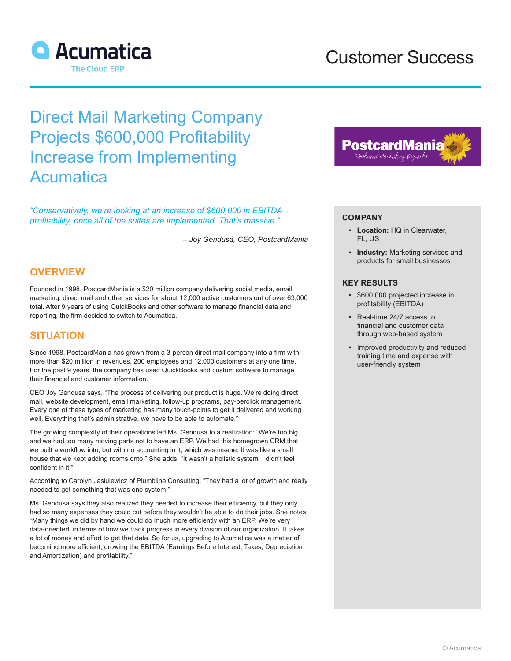

## Customer Success

# Direct Mail Marketing Company Projects \$600,000 Profitability Increase from Implementing Acumatica

*"Conservatively, we're looking at an increase of \$600,000 in EBITDA profitability, once all of the suites are implemented. That's massive."*

*– Joy Gendusa, CEO, PostcardMania*

## **OVERVIEW**

Founded in 1998, PostcardMania is a \$20 million company delivering social media, email marketing, direct mail and other services for about 12,000 active customers out of over 63,000 total. After 9 years of using QuickBooks and other software to manage financial data and reporting, the firm decided to switch to Acumatica.

## **SITUATION**

Since 1998, PostcardMania has grown from a 3-person direct mail company into a firm with more than \$20 million in revenues, 200 employees and 12,000 customers at any one time. For the past 9 years, the company has used QuickBooks and custom software to manage their financial and customer information.

CEO Joy Gendusa says, "The process of delivering our product is huge. We're doing direct mail, website development, email marketing, follow-up programs, pay-perclick management. Every one of these types of marketing has many touch-points to get it delivered and working well. Everything that's administrative, we have to be able to automate."

The growing complexity of their operations led Ms. Gendusa to a realization: "We're too big, and we had too many moving parts not to have an ERP. We had this homegrown CRM that we built a workflow into, but with no accounting in it, which was insane. It was like a small house that we kept adding rooms onto." She adds, "It wasn't a holistic system; I didn't feel confident in it."

According to Carolyn Jasiulewicz of Plumbline Consulting, "They had a lot of growth and really needed to get something that was one system."

Ms. Gendusa says they also realized they needed to increase their efficiency, but they only had so many expenses they could cut before they wouldn't be able to do their jobs. She notes, "Many things we did by hand we could do much more efficiently with an ERP. We're very data-oriented, in terms of how we track progress in every division of our organization. It takes a lot of money and effort to get that data. So for us, upgrading to Acumatica was a matter of becoming more efficient, growing the EBITDA (Earnings Before Interest, Taxes, Depreciation and Amortization) and profitability."



### **COMPANY**

- **Location:** HQ in Clearwater, FL, US
- **Industry:** Marketing services and products for small businesses

#### **KEY RESULTS**

- \$600,000 projected increase in profitability (EBITDA)
- Real-time 24/7 access to financial and customer data through web-based system
- Improved productivity and reduced training time and expense with user-friendly system